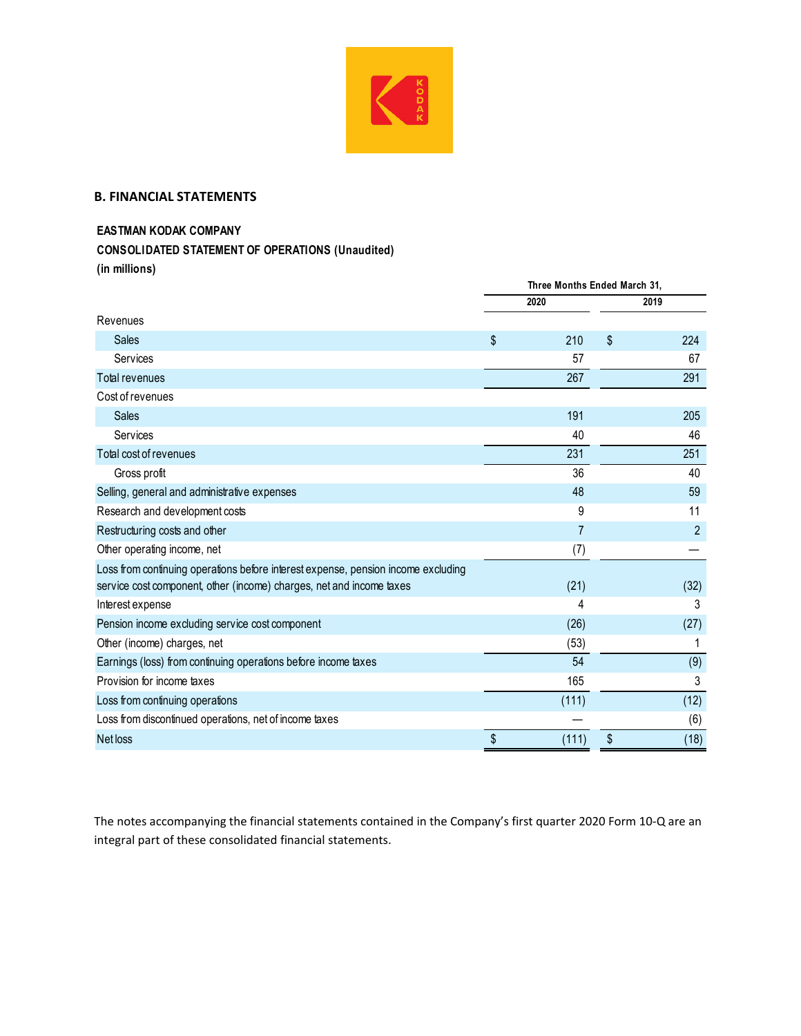

## **B. FINANCIAL STATEMENTS**

## **EASTMAN KODAK COMPANY**

**CONSOLIDATED STATEMENT OF OPERATIONS (Unaudited)**

**(in millions)**

|                                                                                                                                                           | Three Months Ended March 31, |       |    |                |  |
|-----------------------------------------------------------------------------------------------------------------------------------------------------------|------------------------------|-------|----|----------------|--|
|                                                                                                                                                           |                              | 2020  |    | 2019           |  |
| Revenues                                                                                                                                                  |                              |       |    |                |  |
| Sales                                                                                                                                                     | \$                           | 210   | \$ | 224            |  |
| Services                                                                                                                                                  |                              | 57    |    | 67             |  |
| Total revenues                                                                                                                                            |                              | 267   |    | 291            |  |
| Cost of revenues                                                                                                                                          |                              |       |    |                |  |
| <b>Sales</b>                                                                                                                                              |                              | 191   |    | 205            |  |
| Services                                                                                                                                                  |                              | 40    |    | 46             |  |
| Total cost of revenues                                                                                                                                    |                              | 231   |    | 251            |  |
| Gross profit                                                                                                                                              |                              | 36    |    | 40             |  |
| Selling, general and administrative expenses                                                                                                              |                              | 48    |    | 59             |  |
| Research and development costs                                                                                                                            |                              | 9     |    | 11             |  |
| Restructuring costs and other                                                                                                                             |                              | 7     |    | $\overline{c}$ |  |
| Other operating income, net                                                                                                                               |                              | (7)   |    |                |  |
| Loss from continuing operations before interest expense, pension income excluding<br>service cost component, other (income) charges, net and income taxes |                              | (21)  |    | (32)           |  |
| Interest expense                                                                                                                                          |                              | 4     |    | 3              |  |
| Pension income excluding service cost component                                                                                                           |                              | (26)  |    | (27)           |  |
| Other (income) charges, net                                                                                                                               |                              | (53)  |    |                |  |
| Earnings (loss) from continuing operations before income taxes                                                                                            |                              | 54    |    | (9)            |  |
| Provision for income taxes                                                                                                                                |                              | 165   |    | 3              |  |
| Loss from continuing operations                                                                                                                           |                              | (111) |    | (12)           |  |
| Loss from discontinued operations, net of income taxes                                                                                                    |                              |       |    | (6)            |  |
| Net loss                                                                                                                                                  | \$                           | (111) | \$ | (18)           |  |

The notes accompanying the financial statements contained in the Company's first quarter 2020 Form 10‐Q are an integral part of these consolidated financial statements.